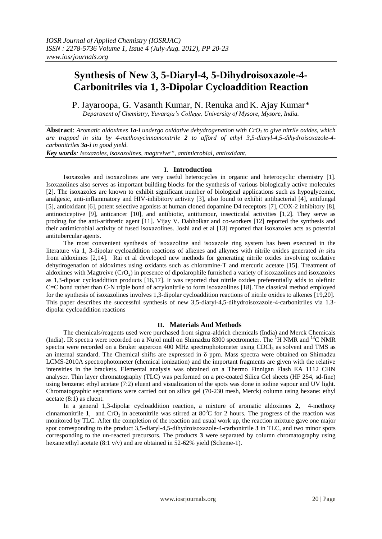# **Synthesis of New 3, 5-Diaryl-4, 5-Dihydroisoxazole-4- Carbonitriles via 1, 3-Dipolar Cycloaddition Reaction**

P. Jayaroopa, G. Vasanth Kumar, N. Renuka and K. Ajay Kumar\* *Department of Chemistry, Yuvaraja's College, University of Mysore, Mysore, India.*

**Abstract**: *Aromatic aldoximes 1a-i undergo oxidative dehydrogenation with CrO2 to give nitrile oxides, which are trapped in situ by 4-methoxycinnamonitrile 2 to afford of ethyl 3,5-diaryl-4,5-dihydroisoxazole-4 carbonitriles 3a-i in good yield*.

*Key words: Isoxazoles, isoxazolines, magtreiveTM, antimicrobial, antioxidant.*

# **I. Introduction**

Isoxazoles and isoxazolines are very useful heterocycles in organic and heterocyclic chemistry [1]. Isoxazolines also serves as important building blocks for the synthesis of various biologically active molecules [2]. The isoxazoles are known to exhibit significant number of biological applications such as hypoglycemic, analgesic, anti-inflammatory and HIV-inhibitory activity [3], also found to exhibit antibacterial [4], antifungal [5], antioxidant [6], potent selective agonists at human cloned dopamine D4 receptors [7], COX-2 inhibitory [8], antinociceptive [9], anticancer [10], and antibiotic, antitumour, insecticidal activities [1,2]. They serve as prodrug for the anti-arithretic agent [11]. Vijay V. Dabholkar and co-workers [12] reported the synthesis and their antimicrobial activity of fused isoxazolines. Joshi and et al [13] reported that isoxazoles acts as potential antitubercular agents.

The most convenient synthesis of isoxazoline and isoxazole ring system has been executed in the literature via 1, 3-dipolar cycloaddition reactions of alkenes and alkynes with nitrile oxides generated *in situ* from aldoximes [2,14]. Rai et al developed new methods for generating nitrile oxides involving oxidative dehydrogenation of aldoximes using oxidants such as chloramine-T and mercuric acetate [15]. Treatment of aldoximes with Magtreive  $(CrO<sub>2</sub>)$  in presence of dipolarophile furnished a variety of isoxazolines and isoxazoles as 1,3-dipoar cycloaddition products [16,17]. It was reported that nitrile oxides preferentially adds to olefinic C=C bond rather than C-N triple bond of acrylonitrile to form isoxazolines [18]. The classical method employed for the synthesis of isoxazolines involves 1,3-dipolar cycloaddition reactions of nitrile oxides to alkenes [19,20]. This paper describes the successful synthesis of new 3,5-diaryl-4,5-dihydroisoxazole-4-carbonitriles via 1.3 dipolar cycloaddition reactions

### **II. Materials And Methods**

The chemicals/reagents used were purchased from sigma-aldrich chemicals (India) and Merck Chemicals (India). IR spectra were recorded on a Nujol mull on Shimadzu 8300 spectrometer. The  ${}^{1}$ H NMR and  ${}^{13}$ C NMR spectra were recorded on a Bruker supercon 400 MHz spectrophotometer using CDCl<sub>3</sub> as solvent and TMS as an internal standard. The Chemical shifts are expressed in  $\delta$  ppm. Mass spectra were obtained on Shimadzu LCMS-2010A spectrophotometer (chemical ionization) and the important fragments are given with the relative intensities in the brackets. Elemental analysis was obtained on a Thermo Finnigan Flash EA 1112 CHN analyser. Thin layer chromatography (TLC) was performed on a pre-coated Silica Gel sheets (HF 254, sd-fine) using benzene: ethyl acetate (7:2) eluent and visualization of the spots was done in iodine vapour and UV light. Chromatographic separations were carried out on silica gel (70-230 mesh, Merck) column using hexane: ethyl acetate (8:1) as eluent.

In a general 1,3-dipolar cycloaddition reaction, a mixture of aromatic aldoximes **2,** 4-methoxy cinnamonitrile 1, and  $CrO<sub>2</sub>$  in acetonitrile was stirred at 80<sup>o</sup>C for 2 hours. The progress of the reaction was monitored by TLC. After the completion of the reaction and usual work up, the reaction mixture gave one major spot corresponding to the product 3,5-diaryl-4,5-dihydroisoxazole-4-carbonitrile **3** in TLC, and two minor spots corresponding to the un-reacted precursors. The products **3** were separated by column chromatography using hexane:ethyl acetate (8:1 v/v) and are obtained in 52-62% yield (Scheme-1).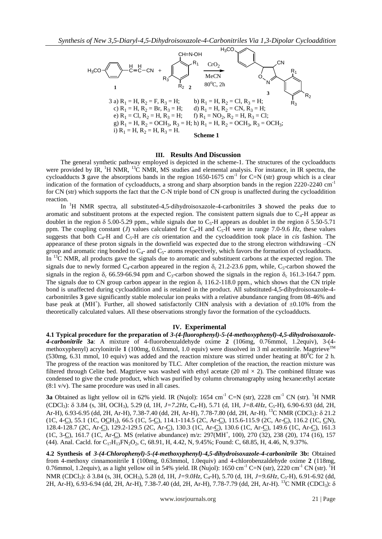

### **III. Results And Discussion**

The general synthetic pathway employed is depicted in the scheme-1. The structures of the cycloadducts were provided by IR, <sup>1</sup>H NMR, <sup>13</sup>C NMR, MS studies and elemental analysis. For instance, in IR spectra, the cycloadducts **3** gave the absorptions bands in the region 1650-1675 cm<sup>-1</sup> for C=N (str) group which is a clear indication of the formation of cycloadducts, a strong and sharp absorption bands in the region 2220-2240 cm<sup>-1</sup> for CN (str) which supports the fact that the C-N triple bond of CN group is unaffected during the cycloaddition reaction.

In <sup>1</sup>H NMR spectra, all substituted-4,5-dihydroisoxazole-4-carbonitriles **3** showed the peaks due to aromatic and substituent protons at the expected region. The consistent pattern signals due to  $C_4$ -H appear as doublet in the region  $\delta$  5.00-5.29 ppm., while signals due to C<sub>5</sub>-H appears as doublet in the region  $\delta$  5.50-5.71 ppm. The coupling constant (*J*) values calculated for C<sub>4</sub>-H and C<sub>5</sub>-H were in range 7.0-9.6  $H<sub>z</sub>$ , these values suggests that both  $C_4$ -H and  $C_5$ -H are *cis* orientation and the cycloaddition took place in *cis* fashion. The appearance of these proton signals in the downfield was expected due to the strong electron withdrawing –CN group and aromatic ring bonded to  $C_{4}$ - and  $C_{5}$ - atoms respectively, which favors the formation of cycloadducts.

In <sup>13</sup>C NMR, all products gave the signals due to aromatic and substituent carbons at the expected region. The signals due to newly formed  $C_4$ -carbon appeared in the region  $\delta_c$  21.2-23.6 ppm, while,  $C_5$ -carbon showed the signals in the region  $\delta_c$  66.59-66.94 ppm and C<sub>3</sub>-carbon showed the signals in the region  $\delta_c$  161.3-164.7 ppm. The signals due to CN group carbon appear in the region  $\delta_c$  116.2-118.0 ppm., which shows that the CN triple bond is unaffected during cycloaddition and is retained in the product. All substituted-4,5-dihydroisoxazole-4 carbonitriles **3** gave significantly stable molecular ion peaks with a relative abundance ranging from 08-46% and base peak at  $(MH^+)$ . Further, all showed satisfactorily CHN analysis with a deviation of  $\pm 0.10\%$  from the theoretically calculated values. All these observations strongly favor the formation of the cycloadducts.

## **IV. Experimental**

**4.1 Typical procedure for the preparation of** *3-(4-fluorophenyl)-5-(4-methoxyphenyl)-4,5-dihydroisoxazole-4-carbonitrile* **3a**: A mixture of 4-fluorobenzaldehyde oxime **2** (106mg, 0.76mmol, 1.2equiv), 3-(4 methoxyphenyl) acrylonitrile 1 (100mg, 0.63mmol, 1.0 equiv) were dissolved in 3 ml acetonitrile. Magtrieve<sup>™</sup> (530mg, 6.31 mmol, 10 equiv) was added and the reaction mixture was stirred under heating at 80<sup>o</sup>C for 2 h. The progress of the reaction was monitored by TLC. After completion of the reaction, the reaction mixture was filtered through Celite bed. Magtrieve was washed with ethyl acetate (20 ml  $\times$  2). The combined filtrate was condensed to give the crude product, which was purified by column chromatography using hexane:ethyl acetate (8:1 v/v). The same procedure was used in all cases.

**3a** Obtained as light yellow oil in 62% yield. IR (Nujol):  $1654 \text{ cm}^{-1} \text{ C=N (str)}$ , 2228 cm<sup>-1</sup> CN (str). <sup>1</sup>H NMR (CDCl3): 3.84 (s, 3H, OCH3), 5.29 (d, 1H, *J=7.2Hz,* C4-H), 5.71 (d, 1H, *J=8.4Hz,* C5-H), 6.90-6.93 (dd, 2H, Ar-H), 6.93-6.95 (dd, 2H, Ar-H), 7.38-7.40 (dd, 2H, Ar-H), 7.78-7.80 (dd, 2H, Ar-H). <sup>13</sup>C NMR (CDCl<sub>3</sub>):  $\delta$  21.2 (1C, 4-C), 55.1 (1C, OCH3), 66.5 (1C, 5-C), 114.1-114.5 (2C, Ar-C), 115.6-115.9 (2C, Ar-C), 116.2 (1C, CN), 128.4-128.7 (2C, Ar-C), 129.2-129.5 (2C, Ar-C), 130.3 (1C, Ar-C), 130.6 (1C, Ar-C), 149.6 (1C, Ar-C), 161.3 (1C, 3-C), 161.7 (1C, Ar-C). MS (relative abundance) m/z: 297(MH<sup>+</sup>, 100), 270 (32), 238 (20), 174 (16), 157 (44). Anal. Cacld. for  $C_{17}H_{13}FN_2O_2$ , C, 68.91, H, 4.42, N, 9.45%; Found: C, 68.85, H, 4.46, N, 9.37%.

**4.2 Synthesis of** *3-(4-Chlorophenyl)-5-(4-methoxyphenyl)-4,5-dihydroisoxazole-4-carbonitrile* **3b:** Obtained from 4-methoxy cinnamonitrile **1** (100mg, 0.63mmol, 1.0equiv) and 4-chlorobenzaldehyde oxime **2** (118mg, 0.76mmol, 1.2equiv), as a light yellow oil in 54% yield. IR (Nujol): 1650 cm<sup>-1</sup> C=N (str), 2220 cm<sup>-1</sup> CN (str). <sup>1</sup>H NMR (CDCl<sub>3</sub>):  $\delta$  3.84 (s, 3H, OCH<sub>3</sub>), 5.28 (d, 1H, *J*=9.0Hz, C<sub>4</sub>-H), 5.70 (d, 1H, *J*=9.6Hz, C<sub>5</sub>-H), 6.91-6.92 (dd, 2H, Ar-H), 6.93-6.94 (dd, 2H, Ar-H), 7.38-7.40 (dd, 2H, Ar-H), 7.78-7.79 (dd, 2H, Ar-H). <sup>13</sup>C NMR (CDCl<sub>3</sub>):  $\delta$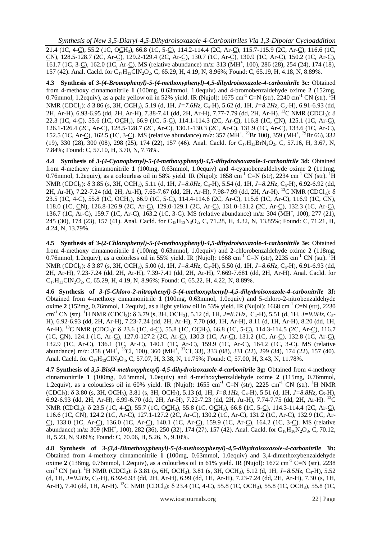21.4 (1C, 4-C), 55.2 (1C, OCH3), 66.8 (1C, 5-C), 114.2-114.4 (2C, Ar-C), 115.7-115.9 (2C, Ar-C), 116.6 (1C, CN), 128.5-128.7 (2C, Ar-C), 129.2-129.4 (2C, Ar-C), 130.7 (1C, Ar-C), 130.9 (1C, Ar-C), 150.2 (1C, Ar-C), 161.7 (1C, 3-C), 162.0 (1C, Ar-C). MS (relative abundance) m/z: 313 (MH<sup>+</sup>, 100), 286 (28), 254 (24), 174 (18), 157 (42). Anal. Cacld. for C<sub>17</sub>H<sub>13</sub>ClN<sub>2</sub>O<sub>2</sub>, C, 65.29, H, 4.19, N, 8.96%; Found: C, 65.19, H, 4.18, N, 8.89%.

**4.3 Synthesis of** *3-(4-Bromophenyl)-5-(4-methoxyphenyl)-4,5-dihydroisoxazole-4-carbonitrile* **3c:** Obtained from 4-methoxy cinnamonitrile **1** (100mg, 0.63mmol, 1.0equiv) and 4-bromobenzaldehyde oxime **2** (152mg, 0.76mmol, 1.2equiv), as a pale yellow oil in 52% yield. IR (Nujol):  $1675 \text{ cm}^{-1}$  C=N (str),  $2240 \text{ cm}^{-1}$  CN (str). <sup>1</sup>H NMR (CDCl<sub>3</sub>):  $\delta$  3.86 (s, 3H, OCH<sub>3</sub>), 5.19 (d, 1H, *J*=7.6Hz, C<sub>4</sub>-H), 5.62 (d, 1H, *J*=8.2Hz, C<sub>5</sub>-H), 6.91-6.93 (dd, 2H, Ar-H), 6.93-6.95 (dd, 2H, Ar-H), 7.38-7.41 (dd, 2H, Ar-H), 7.77-7.79 (dd, 2H, Ar-H), <sup>13</sup>C NMR (CDCl<sub>3</sub>):  $\delta$ 22.3 (1C, 4-C), 55.6 (1C, OCH3), 66.9 (1C, 5-C), 114.1-114.3 (2C, Ar-C), 116.8 (1C, CN), 125.1 (1C, Ar-C), 126.1-126.4 (2C, Ar-C), 128.5-128.7 (2C, Ar-C), 130.1-130.3 (2C, Ar-C), 131.9 (1C, Ar-C), 133.6 (1C, Ar-C), 152.5 (1C, Ar-C), 162.5 (1C, 3-C). MS (relative abundance) m/z: 357 (MH<sup>+ 79</sup>Br 100), 359 (MH<sup>+ 79</sup>Br 66), 332 (19), 330 (28), 300 (08), 298 (25), 174 (22), 157 (46). Anal. Cacld. for  $C_{17}H_{13}BrN_2O_2$ , C, 57.16, H, 3.67, N, 7.84%; Found: C, 57.10, H, 3.70, N, 7.78%.

**4.4 Synthesis of** *3-(4-Cyanophenyl)-5-(4-methoxyphenyl)-4,5-dihydroisoxazole-4-carbonitrile* **3d:** Obtained from 4-methoxy cinnamonitrile **1** (100mg, 0.63mmol, 1.0equiv) and 4-cyanobenzaldehyde oxime **2** (111mg, 0.76mmol, 1.2equiv), as a colourless oil in 58% yield. IR (Nujol):  $1658 \text{ cm}^{-1}$  C=N (str),  $2234 \text{ cm}^{-1}$  CN (str). <sup>1</sup>H NMR (CDCl<sub>3</sub>):  $\delta$  3.85 (s, 3H, OCH<sub>3</sub>), 5.11 (d, 1H, *J*=8.0Hz, C<sub>4</sub>-H), 5.54 (d, 1H, *J*=8.2Hz, C<sub>5</sub>-H), 6.92-6.92 (dd, 2H, Ar-H), 7.22-7.24 (dd, 2H, Ar-H), 7.65-7.67 (dd, 2H, Ar-H), 7.98-7.99 (dd, 2H, Ar-H). <sup>13</sup>C NMR (CDCl<sub>3</sub>):  $\delta$ 23.5 (1C, 4-C), 55.8 (1C, OCH3), 66.9 (1C, 5-C), 114.4-114.6 (2C, Ar-C), 115.6 (1C, Ar-C), 116.9 (1C, CN), 118.0 (1C, CN), 126.8-126.9 (2C, Ar-C), 129.0-129.1 (2C, Ar-C), 131.0-131.2 (2C, Ar-C), 132.3 (1C, Ar-C), 136.7 (1C, Ar-C), 159.7 (1C, Ar-C), 163.2 (1C, 3-C). MS (relative abundance) m/z: 304 (MH<sup>+</sup>, 100), 277 (21), 245 (30), 174 (23), 157 (41). Anal. Cacld. for C<sub>18</sub>H<sub>13</sub>N<sub>3</sub>O<sub>2</sub>, C, 71.28, H, 4.32, N, 13.85%; Found: C, 71.21, H, 4.24, N, 13.79%.

**4.5 Synthesis of** *3-(2-Chlorophenyl)-5-(4-methoxyphenyl)-4,5-dihydroisoxazole-4-carbonitrile* **3e:** Obtained from 4-methoxy cinnamonitrile **1** (100mg, 0.63mmol, 1.0equiv) and 2-chlorobenzaldehyde oxime **2** (118mg, 0.76mmol, 1.2equiv), as a colorless oil in 55% yield. IR (Nujol): 1668 cm<sup>-1</sup> C=N (str), 2235 cm<sup>-1</sup> CN (str). <sup>1</sup>H NMR (CDCl<sub>3</sub>):  $\delta$  3.87 (s, 3H, OCH<sub>3</sub>), 5.00 (d, 1H, *J*=8.4Hz, C<sub>4</sub>-H), 5.50 (d, 1H, *J*=8.6Hz, C<sub>5</sub>-H), 6.91-6.93 (dd, 2H, Ar-H), 7.23-7.24 (dd, 2H, Ar-H), 7.39-7.41 (dd, 2H, Ar-H), 7.669-7.681 (dd, 2H, Ar-H). Anal. Cacld. for  $C_{17}H_{13}CIN_2O_2$ , C, 65.29, H, 4.19, N, 8.96%; Found: C, 65.22, H, 4.22, N, 8.89%.

**4.6 Synthesis of** *3-(5-Chloro-2-nitrophenyl)-5-(4-methoxyphenyl)-4,5-dihydroisoxazole-4-carbonitrile* **3f:**  Obtained from 4-methoxy cinnamonitrile **1** (100mg, 0.63mmol, 1.0equiv) and 5-chloro-2-nitrobenzaldehyde oxime  $2(152mg, 0.76mmol, 1.2$ equiv), as a light yellow oil in 53% yield. IR (Nujol):  $1668 \text{ cm}^{-1}$  C=N (str), 2230 cm<sup>-1</sup> CN (str). <sup>1</sup>H NMR (CDCl<sub>3</sub>):  $\delta$  3.79 (s, 3H, OCH<sub>3</sub>), 5.12 (d, 1H, *J*=8.1Hz, C<sub>4</sub>-H), 5.51 (d, 1H, *J*=9.0Hz, C<sub>5</sub>-H), 6.92-6.93 (dd, 2H, Ar-H), 7.23-7.24 (dd, 2H, Ar-H), 7.70 (dd, 1H, Ar-H), 8.11 (d, 1H, Ar-H), 8.20 (dd, 1H, Ar-H). <sup>13</sup>C NMR (CDCl<sub>3</sub>): δ 23.6 (1C, 4-<u>C</u>), 55.8 (1C, OCH<sub>3</sub>), 66.8 (1C, 5-C), 114.3-114.5 (2C, Ar-C), 116.7 (1C, CN), 124.1 (1C, Ar-C), 127.0-127.2 (2C, Ar-C), 130.3 (1C, Ar-C), 131.2 (1C, Ar-C), 132.8 (1C, Ar-C), 132.9 (1C, Ar-C), 136.1 (1C, Ar-C), 140.1 (1C, Ar-C), 159.9 (1C, Ar-C), 164.2 (1C, 3-C). MS (relative abundance) m/z: 358 (MH<sup>+</sup>, <sup>35</sup>Cl, 100), 360 (MH<sup>+</sup>, <sup>37</sup>Cl, 33), 333 (08), 331 (22), 299 (34), 174 (22), 157 (40). Anal. Cacld. for C<sub>17</sub>H<sub>12</sub>ClN<sub>3</sub>O<sub>4</sub>, C, 57.07, H, 3.38, N, 11.75%; Found: C, 57.00, H, 3.43, N, 11.78%.

**4.7 Synthesis of** *3,5-Bis(4-methoxyphenyl)-4,5-dihydroisoxazole-4-carbonitrile* **3g:** Obtained from 4-methoxy cinnamonitrile **1** (100mg, 0.63mmol, 1.0equiv) and 4-methoxybenzaldehyde oxime **2** (115mg, 0.76mmol, 1.2equiv), as a colourless oil in 60% yield. IR (Nujol):  $1655 \text{ cm}^{-1} \text{ C=N (str)}, 2225 \text{ cm}^{-1} \text{ CN (str)}.$ <sup>1</sup>H NMR  $(CDCl_3)$ :  $\delta$  3.80 (s, 3H, OCH<sub>3</sub>), 3.81 (s, 3H, OCH<sub>3</sub>), 5.13 (d, 1H, *J*=8.*H<sub>z</sub>*, *C<sub>4</sub>*-H), 5.51 (d, 1H, *J*=8.*8Hz*, *C<sub>5</sub>*-H), 6.92-6.93 (dd, 2H, Ar-H), 6.99-6.70 (dd, 2H, Ar-H), 7.22-7.23 (dd, 2H, Ar-H), 7.74-7.75 (dd, 2H, Ar-H). <sup>13</sup>C NMR (CDCl<sub>3</sub>):  $\delta$  23.5 (1C, 4-C), 55.7 (1C, OCH<sub>3</sub>), 55.8 (1C, OCH<sub>3</sub>), 66.8 (1C, 5-C), 114.3-114.4 (2C, Ar-C), 116.6 (1C, CN), 124.2 (1C, Ar-C), 127.1-127.2 (2C, Ar-C), 130.2 (1C, Ar-C), 131.2 (1C, Ar-C), 132.9 (1C, Ar-C), 133.0 (1C, Ar-C), 136.0 (1C, Ar-C), 140.1 (1C, Ar-C), 159.9 (1C, Ar-C), 164.2 (1C, 3-C). MS (relative abundance) m/z: 309 (MH<sup>+</sup>, 100), 282 (36), 250 (32), 174 (27), 157 (42). Anal. Cacld. for C<sub>18</sub>H<sub>16</sub>N<sub>2</sub>O<sub>3</sub>, C, 70.12, H, 5.23, N, 9.09%; Found: C, 70.06, H, 5.26, N, 9.10%.

**4.8 Synthesis of** *3-(3,4-Dimethoxyphenyl)-5-(4-methoxyphenyl)-4,5-dihydroisoxazole-4-carbonitrile* **3h:**  Obtained from 4-methoxy cinnamonitrile **1** (100mg, 0.63mmol, 1.0equiv) and 3,4-dimethoxybenzaldehyde oxime 2 (138mg, 0.76mmol, 1.2equiv), as a colourless oil in 61% yield. IR (Nujol): 1672 cm<sup>-1</sup> C=N (str), 2238 cm-1 CN (str). <sup>1</sup>H NMR (CDCl3): 3.81 (s, 6H, OCH3), 3.81 (s, 3H, OCH3), 5.12 (d, 1H, *J=8.5Hz,* C4-H), 5.52 (d, 1H, *J*=9.2Hz, C<sub>5</sub>-H), 6.92-6.93 (dd, 2H, Ar-H), 6.99 (dd, 1H, Ar-H), 7.23-7.24 (dd, 2H, Ar-H), 7.30 (s, 1H, Ar-H), 7.40 (dd, 1H, Ar-H). <sup>13</sup>C NMR (CDCl<sub>3</sub>):  $\delta$  23.4 (1C, 4-<u>C), 55.8</u> (1C, OCH<sub>3</sub>), 55.8 (1C, OCH<sub>3</sub>), 55.8 (1C,